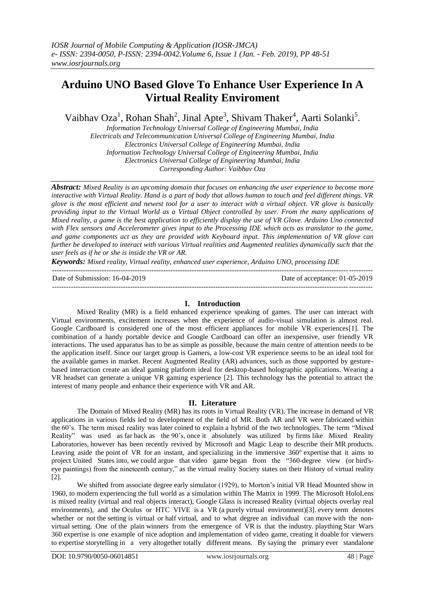# **Arduino UNO Based Glove To Enhance User Experience In A Virtual Reality Enviroment**

Vaibhav Oza<sup>1</sup>, Rohan Shah<sup>2</sup>, Jinal Apte<sup>3</sup>, Shivam Thaker<sup>4</sup>, Aarti Solanki<sup>5</sup>.

*Information Technology Universal College of Engineering Mumbai, India Electricals and Telecommunication Universal College of Engineering Mumbai, India Electronics Universal College of Engineering Mumbai, India Information Technology Universal College of Engineering Mumbai, India Electronics Universal College of Engineering Mumbai, India Corresponding Author: Vaibhav Oza*

*Abstract: Mixed Reality is an upcoming domain that focuses on enhancing the user experience to become more interactive with Virtual Reality. Hand is a part of body that allows human to touch and feel different things. VR glove is the most efficient and newest tool for a user to interact with a virtual object. VR glove is basically providing input to the Virtual World as a Virtual Object controlled by user. From the many applications of Mixed reality, a game is the best application to efficiently display the use of VR Glove. Arduino Uno connected with Flex sensors and Accelerometer gives input to the Processing IDE which acts as translator to the game, and game components act as they are provided with Keyboard input. This implementation of VR glove can further be developed to interact with various Virtual realities and Augmented realities dynamically such that the user feels as if he or she is inside the VR or AR.*

*Keywords: Mixed reality, Virtual reality, enhanced user experience, Arduino UNO, processing IDE* ---------------------------------------------------------------------------------------------------------------------------------------

Date of Submission: 16-04-2019 Date of acceptance: 01-05-2019 ---------------------------------------------------------------------------------------------------------------------------------------

## **I. Introduction**

Mixed Reality (MR) is a field enhanced experience speaking of games. The user can interact with Virtual environments, excitement increases when the experience of audio-visual simulation is almost real. Google Cardboard is considered one of the most efficient appliances for mobile VR experiences[1]. The combination of a handy portable device and Google Cardboard can offer an inexpensive, user friendly VR interactions. The used apparatus has to be as simple as possible, because the main centre of attention needs to be the application itself. Since our target group is Gamers, a low-cost VR experience seems to be an ideal tool for the available games in market. Recent Augmented Reality (AR) advances, such as those supported by gesturebased interaction create an ideal gaming platform ideal for desktop-based holographic applications. Wearing a VR headset can generate a unique VR gaming experience [2]. This technology has the potential to attract the interest of many people and enhance their experience with VR and AR.

## **II. Literature**

The Domain of Mixed Reality (MR) has its roots in Virtual Reality (VR). The increase in demand of VR applications in various fields led to development of the field of MR. Both AR and VR were fabricated within the 60"s. The term mixed reality was later coined to explain a hybrid of the two technologies. The term "Mixed Reality" was used as far back as the 90"s, once it absolutely was utilized by firms like Mixed Reality Laboratories, however has been recently revived by Microsoft and Magic Leap to describe their MR products. Leaving aside the point of VR for an instant, and specializing in the immersive 360° expertise that it aims to project United States into, we could argue that video game began from the "360-degree view (or bird'seye paintings) from the nineteenth century," as the virtual reality Society states on their History of virtual reality [2].

We shifted from associate degree early simulator (1929), to Morton's initial VR Head Mounted show in 1960, to modern experiencing the full world as a simulation within The Matrix in 1999. The Microsoft HoloLens is mixed reality (virtual and real objects interact), Google Glass is increased Reality (virtual objects overlay real environments), and the Oculus or HTC VIVE is a VR (a purely virtual environment)[3]. every term denotes whether or not the setting is virtual or half virtual, and to what degree an individual can move with the nonvirtual setting. One of the plain winners from the emergence of VR is that the industry. plaything Star Wars 360 expertise is one example of nice adoption and implementation of video game, creating it doable for viewers to expertise storytelling in a very altogether totally different means. By saying the primary ever standalone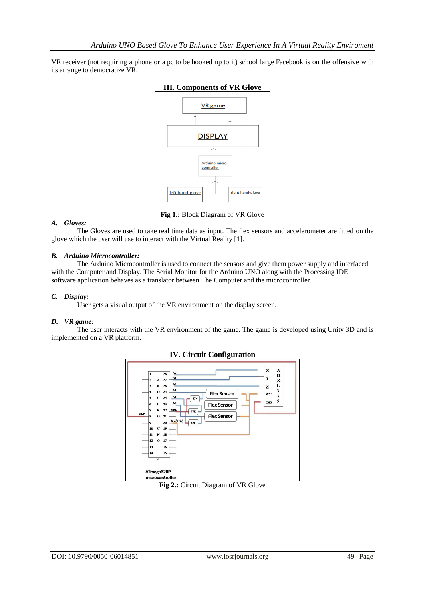VR receiver (not requiring a phone or a pc to be hooked up to it) school large Facebook is on the offensive with its arrange to democratize VR.



## **III. Components of VR Glove**

*A. Gloves:* 

The Gloves are used to take real time data as input. The flex sensors and accelerometer are fitted on the glove which the user will use to interact with the Virtual Reality [1].

### *B. Arduino Microcontroller:*

The Arduino Microcontroller is used to connect the sensors and give them power supply and interfaced with the Computer and Display. The Serial Monitor for the Arduino UNO along with the Processing IDE software application behaves as a translator between The Computer and the microcontroller.

#### *C. Display:*

User gets a visual output of the VR environment on the display screen.

#### *D. VR game:*

The user interacts with the VR environment of the game. The game is developed using Unity 3D and is implemented on a VR platform.





**Fig 2.:** Circuit Diagram of VR Glove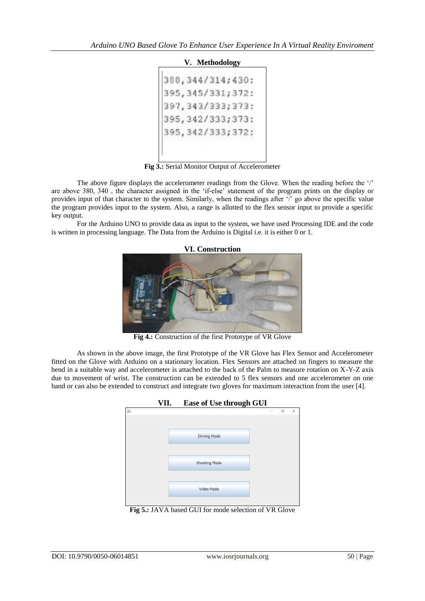## **V. Methodology**

```
388, 344/314; 430:
395, 345/331; 372:
397, 343/333; 373:
395, 342/333; 373:
395, 342/333; 372:
```
**Fig 3.:** Serial Monitor Output of Accelerometer

The above figure displays the accelerometer readings from the Glove. When the reading before the "/" are above 380, 340 , the character assigned in the "if-else" statement of the program prints on the display or provides input of that character to the system. Similarly, when the readings after  $\gamma$  go above the specific value the program provides input to the system. Also, a range is allotted to the flex sensor input to provide a specific key output.

For the Arduino UNO to provide data as input to the system, we have used Processing IDE and the code is written in processing language. The Data from the Arduino is Digital i.e. it is either 0 or 1.



**Fig 4.:** Construction of the first Prototype of VR Glove

As shown in the above image, the first Prototype of the VR Glove has Flex Sensor and Accelerometer fitted on the Glove with Arduino on a stationary location. Flex Sensors are attached on fingers to measure the bend in a suitable way and accelerometer is attached to the back of the Palm to measure rotation on X-Y-Z axis due to movement of wrist. The construction can be extended to 5 flex sensors and one accelerometer on one hand or can also be extended to construct and integrate two gloves for maximum interaction from the user [4].



**Fig 5.:** JAVA based GUI for mode selection of VR Glove